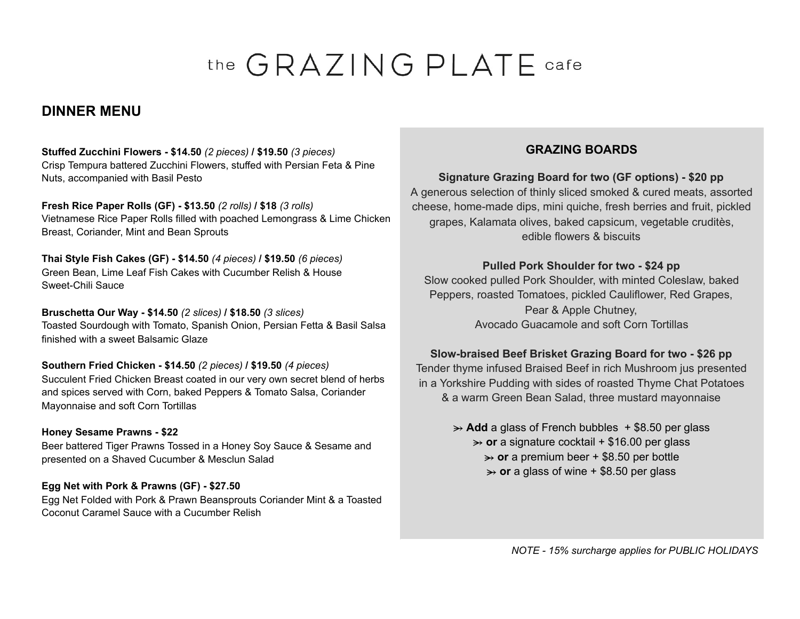# the GRAZING PLATE cafe

# **DINNER MENU**

Stuffed Zucchini Flowers - \$14.50 (2 pieces) / \$19.50 (3 pieces) Crisp Tempura battered Zucchini Flowers, stuffed with Persian Feta & Pine Nuts, accompanied with Basil Pesto

Fresh Rice Paper Rolls (GF) - \$13.50 (2 rolls) / \$18 (3 rolls) Vietnamese Rice Paper Rolls filled with poached Lemongrass & Lime Chicken Breast, Coriander, Mint and Bean Sprouts

Thai Style Fish Cakes (GF) - \$14.50 (4 pieces) / \$19.50 (6 pieces) Green Bean, Lime Leaf Fish Cakes with Cucumber Relish & House Sweet-Chili Sauce

Bruschetta Our Way - \$14.50 (2 slices) / \$18.50 (3 slices) Toasted Sourdough with Tomato, Spanish Onion, Persian Fetta & Basil Salsa finished with a sweet Balsamic Glaze

Southern Fried Chicken - \$14.50 (2 pieces) / \$19.50 (4 pieces) Succulent Fried Chicken Breast coated in our very own secret blend of herbs and spices served with Corn, baked Peppers & Tomato Salsa, Coriander Mayonnaise and soft Corn Tortillas

#### **Honey Sesame Prawns - \$22** Beer battered Tiger Prawns Tossed in a Honey Soy Sauce & Sesame and presented on a Shaved Cucumber & Mesclun Salad

#### Egg Net with Pork & Prawns (GF) - \$27.50

Egg Net Folded with Pork & Prawn Beansprouts Coriander Mint & a Toasted Coconut Caramel Sauce with a Cucumber Relish

## **GRAZING BOARDS**

## Signature Grazing Board for two (GF options) - \$20 pp

A generous selection of thinly sliced smoked & cured meats, assorted cheese, home-made dips, mini quiche, fresh berries and fruit, pickled grapes, Kalamata olives, baked capsicum, vegetable cruditès, edible flowers & biscuits

## Pulled Pork Shoulder for two - \$24 pp

Slow cooked pulled Pork Shoulder, with minted Coleslaw, baked Peppers, roasted Tomatoes, pickled Cauliflower, Red Grapes, Pear & Apple Chutney, Avocado Guacamole and soft Corn Tortillas

#### Slow-braised Beef Brisket Grazing Board for two - \$26 pp

Tender thyme infused Braised Beef in rich Mushroom jus presented in a Yorkshire Pudding with sides of roasted Thyme Chat Potatoes & a warm Green Bean Salad, three mustard mayonnaise

> $\rightarrow$  Add a glass of French bubbles + \$8.50 per glass  $\rightarrow$  or a signature cocktail + \$16.00 per glass  $\rightarrow$  or a premium beer + \$8.50 per bottle  $\rightarrow$  or a glass of wine + \$8.50 per glass

> > NOTE - 15% surcharge applies for PUBLIC HOLIDAYS